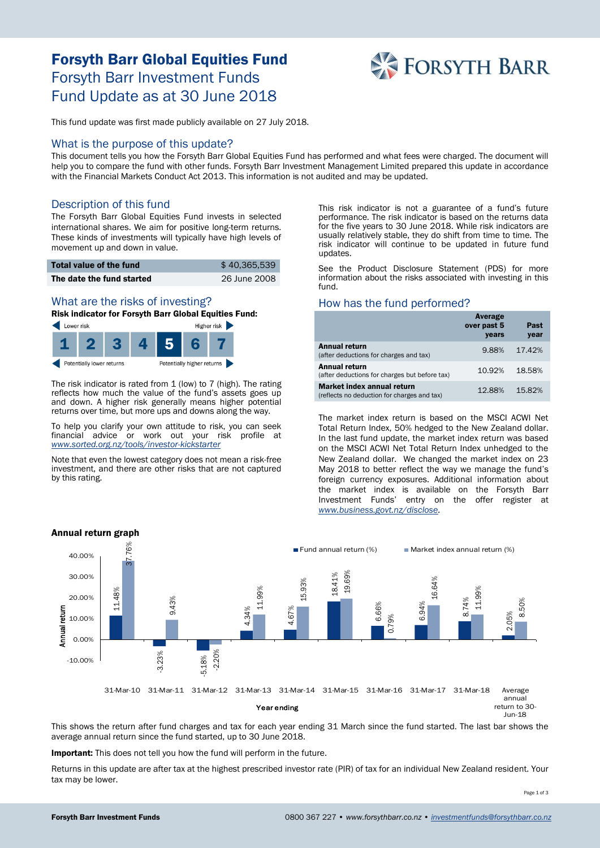# Forsyth Barr Global Equities Fund Forsyth Barr Investment Funds Fund Update as at 30 June 2018



This fund update was first made publicly available on 27 July 2018.

#### What is the purpose of this update?

This document tells you how the Forsyth Barr Global Equities Fund has performed and what fees were charged. The document will help you to compare the fund with other funds. Forsyth Barr Investment Management Limited prepared this update in accordance with the Financial Markets Conduct Act 2013. This information is not audited and may be updated.

## Description of this fund

The Forsyth Barr Global Equities Fund invests in selected international shares. We aim for positive long-term returns. These kinds of investments will typically have high levels of movement up and down in value.

| Total value of the fund   | \$40.365.539 |
|---------------------------|--------------|
| The date the fund started | 26 June 2008 |

# What are the risks of investing?

Risk indicator for Forsyth Barr Global Equities Fund:



The risk indicator is rated from 1 (low) to 7 (high). The rating reflects how much the value of the fund's assets goes up and down. A higher risk generally means higher potential returns over time, but more ups and downs along the way.

To help you clarify your own attitude to risk, you can seek financial advice or work out your risk profile at *[www.sorted.org.nz/tools/investor-kickstarter](http://www.sorted.org.nz/tools/investor-kickstarter)*

Note that even the lowest category does not mean a risk-free investment, and there are other risks that are not captured by this rating.

This risk indicator is not a guarantee of a fund's future performance. The risk indicator is based on the returns data for the five years to 30 June 2018. While risk indicators are usually relatively stable, they do shift from time to time. The risk indicator will continue to be updated in future fund updates.

See the Product Disclosure Statement (PDS) for more information about the risks associated with investing in this fund.

#### How has the fund performed?

|                                                                           | Average<br>over past 5<br>years | Past<br>year |
|---------------------------------------------------------------------------|---------------------------------|--------------|
| <b>Annual return</b><br>(after deductions for charges and tax)            | 9.88%                           | 17.42%       |
| Annual return<br>(after deductions for charges but before tax)            | 10.92%                          | 18.58%       |
| Market index annual return<br>(reflects no deduction for charges and tax) | 12.88%                          | 15.82%       |

The market index return is based on the MSCI ACWI Net Total Return Index, 50% hedged to the New Zealand dollar. In the last fund update, the market index return was based on the MSCI ACWI Net Total Return Index unhedged to the New Zealand dollar. We changed the market index on 23 May 2018 to better reflect the way we manage the fund's foreign currency exposures. Additional information about the market index is available on the Forsyth Barr Investment Funds' entry on the offer register at *[www.business.govt.nz/disclose.](http://www.business.govt.nz/disclose)*



This shows the return after fund charges and tax for each year ending 31 March since the fund started. The last bar shows the average annual return since the fund started, up to 30 June 2018.

Important: This does not tell you how the fund will perform in the future.

Returns in this update are after tax at the highest prescribed investor rate (PIR) of tax for an individual New Zealand resident. Your tax may be lower.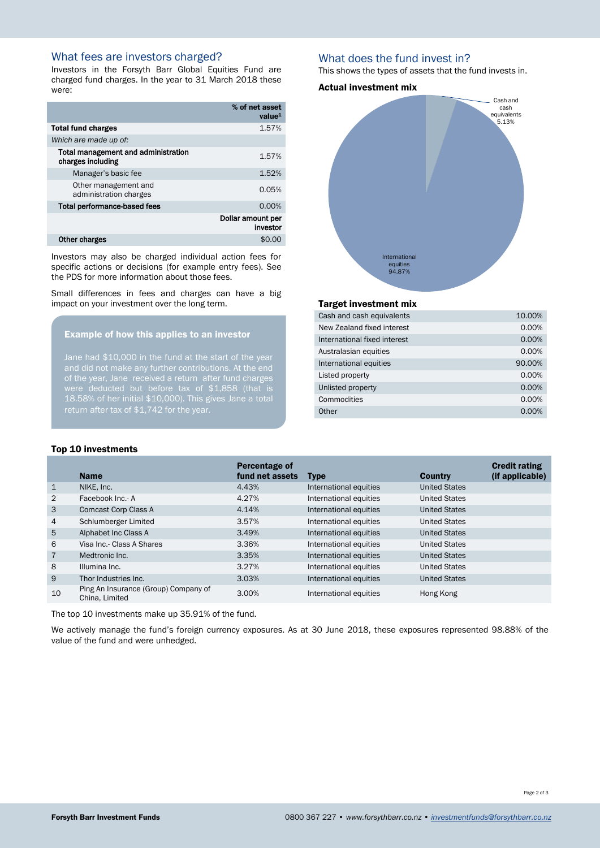# What fees are investors charged?

Investors in the Forsyth Barr Global Equities Fund are charged fund charges. In the year to 31 March 2018 these were:

|                                                          | % of net asset<br>value <sup>1</sup> |
|----------------------------------------------------------|--------------------------------------|
| <b>Total fund charges</b>                                | 1.57%                                |
| Which are made up of:                                    |                                      |
| Total management and administration<br>charges including | 1.57%                                |
| Manager's basic fee                                      | 1.52%                                |
| Other management and<br>administration charges           | 0.05%                                |
| Total performance-based fees                             | 0.00%                                |
|                                                          | Dollar amount per<br>investor        |
| Other charges                                            | \$0.                                 |

Investors may also be charged individual action fees for specific actions or decisions (for example entry fees). See the PDS for more information about those fees.

Small differences in fees and charges can have a big impact on your investment over the long term.

#### Example of how this applies to an investor

Jane had \$10,000 in the fund at the start of the year of the year, Jane received a return after fund charges 18.58% of her initial \$10,000). This gives Jane a total return after tax of \$1,742 for the year.

## What does the fund invest in?

This shows the types of assets that the fund invests in.

#### Actual investment mix



#### Target investment mix

| Cash and cash equivalents    | 10.00% |
|------------------------------|--------|
| New Zealand fixed interest   | 0.00%  |
| International fixed interest | 0.00%  |
| Australasian equities        | 0.00%  |
| International equities       | 90.00% |
| Listed property              | 0.00%  |
| Unlisted property            | 0.00%  |
| Commodities                  | 0.00%  |
| Other                        | 0.00%  |
|                              |        |

#### Top 10 investments

|                | <b>Name</b>                                            | Percentage of<br>fund net assets | <b>Type</b>            | Country              | <b>Credit rating</b><br>(if applicable) |
|----------------|--------------------------------------------------------|----------------------------------|------------------------|----------------------|-----------------------------------------|
| $\mathbf 1$    | NIKE, Inc.                                             | 4.43%                            | International equities | <b>United States</b> |                                         |
| 2              | Facebook Inc.- A                                       | 4.27%                            | International equities | <b>United States</b> |                                         |
| 3              | Comcast Corp Class A                                   | 4.14%                            | International equities | <b>United States</b> |                                         |
| 4              | Schlumberger Limited                                   | 3.57%                            | International equities | <b>United States</b> |                                         |
| 5              | Alphabet Inc Class A                                   | 3.49%                            | International equities | <b>United States</b> |                                         |
| 6              | Visa Inc.- Class A Shares                              | 3.36%                            | International equities | <b>United States</b> |                                         |
| $\overline{7}$ | Medtronic Inc.                                         | 3.35%                            | International equities | <b>United States</b> |                                         |
| 8              | Illumina Inc.                                          | 3.27%                            | International equities | <b>United States</b> |                                         |
| 9              | Thor Industries Inc.                                   | 3.03%                            | International equities | <b>United States</b> |                                         |
| 10             | Ping An Insurance (Group) Company of<br>China, Limited | 3.00%                            | International equities | Hong Kong            |                                         |

The top 10 investments make up 35.91% of the fund.

We actively manage the fund's foreign currency exposures. As at 30 June 2018, these exposures represented 98.88% of the value of the fund and were unhedged.